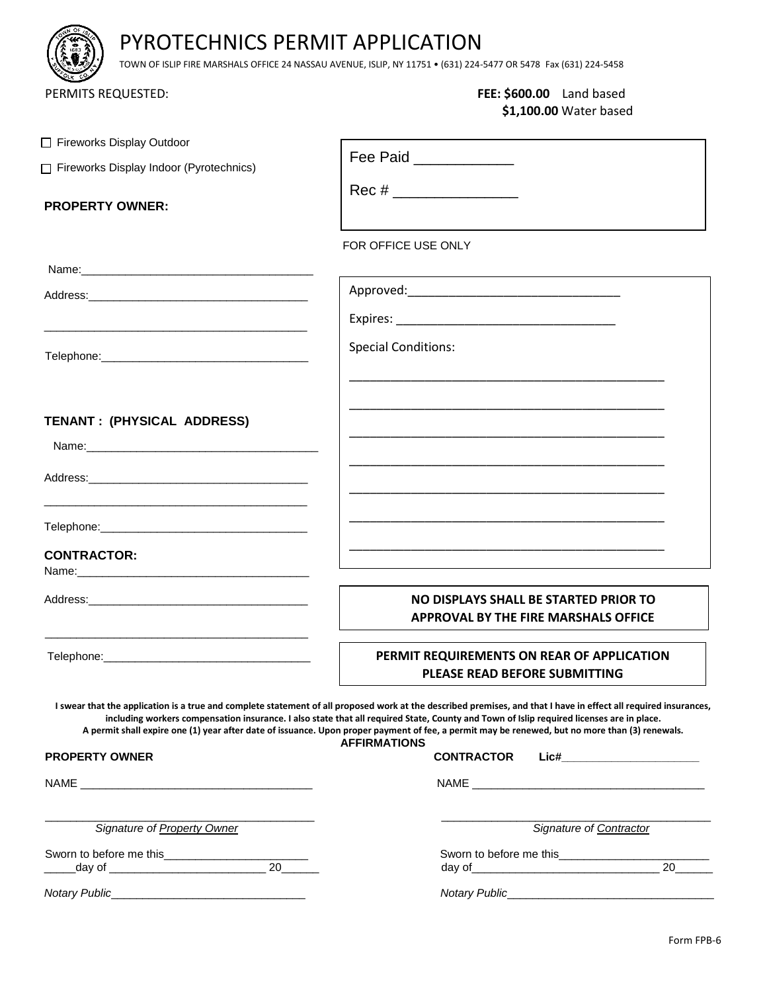# PYROTECHNICS PERMIT APPLICATION

TOWN OF ISLIP FIRE MARSHALS OFFICE 24 NASSAU AVENUE, ISLIP, NY 11751 • (631) 224-5477 OR 5478 Fax (631) 224-5458

## PERMITS REQUESTED: **FEE: \$600.00** Land based **\$1,100.00** Water based

| Fireworks Display Outdoor               |                                                                                                                                                                                                                                                                                                                                                                                                                                                                                       |  |  |
|-----------------------------------------|---------------------------------------------------------------------------------------------------------------------------------------------------------------------------------------------------------------------------------------------------------------------------------------------------------------------------------------------------------------------------------------------------------------------------------------------------------------------------------------|--|--|
| Fireworks Display Indoor (Pyrotechnics) | Fee Paid ____________                                                                                                                                                                                                                                                                                                                                                                                                                                                                 |  |  |
| <b>PROPERTY OWNER:</b>                  | $Rec # \_$                                                                                                                                                                                                                                                                                                                                                                                                                                                                            |  |  |
|                                         | FOR OFFICE USE ONLY                                                                                                                                                                                                                                                                                                                                                                                                                                                                   |  |  |
|                                         |                                                                                                                                                                                                                                                                                                                                                                                                                                                                                       |  |  |
|                                         |                                                                                                                                                                                                                                                                                                                                                                                                                                                                                       |  |  |
|                                         |                                                                                                                                                                                                                                                                                                                                                                                                                                                                                       |  |  |
|                                         | <b>Special Conditions:</b>                                                                                                                                                                                                                                                                                                                                                                                                                                                            |  |  |
| TENANT: (PHYSICAL ADDRESS)              |                                                                                                                                                                                                                                                                                                                                                                                                                                                                                       |  |  |
|                                         |                                                                                                                                                                                                                                                                                                                                                                                                                                                                                       |  |  |
|                                         |                                                                                                                                                                                                                                                                                                                                                                                                                                                                                       |  |  |
|                                         |                                                                                                                                                                                                                                                                                                                                                                                                                                                                                       |  |  |
| <b>CONTRACTOR:</b>                      |                                                                                                                                                                                                                                                                                                                                                                                                                                                                                       |  |  |
|                                         | NO DISPLAYS SHALL BE STARTED PRIOR TO<br>APPROVAL BY THE FIRE MARSHALS OFFICE                                                                                                                                                                                                                                                                                                                                                                                                         |  |  |
|                                         | PERMIT REQUIREMENTS ON REAR OF APPLICATION<br>PLEASE READ BEFORE SUBMITTING                                                                                                                                                                                                                                                                                                                                                                                                           |  |  |
|                                         | I swear that the application is a true and complete statement of all proposed work at the described premises, and that I have in effect all required insurances,<br>including workers compensation insurance. I also state that all required State, County and Town of Islip required licenses are in place.<br>A permit shall expire one (1) year after date of issuance. Upon proper payment of fee, a permit may be renewed, but no more than (3) renewals.<br><b>AFFIRMATIONS</b> |  |  |
| <b>PROPERTY OWNER</b>                   | <b>CONTRACTOR</b><br>Lic#_____________________                                                                                                                                                                                                                                                                                                                                                                                                                                        |  |  |
|                                         | NAME And the state of the state of the state of the state of the state of the state of the state of the state of the state of the state of the state of the state of the state of the state of the state of the state of the s                                                                                                                                                                                                                                                        |  |  |
| Signature of Property Owner             | Signature of Contractor                                                                                                                                                                                                                                                                                                                                                                                                                                                               |  |  |
|                                         | Sworn to before me this<br>$\overline{20}$                                                                                                                                                                                                                                                                                                                                                                                                                                            |  |  |
|                                         |                                                                                                                                                                                                                                                                                                                                                                                                                                                                                       |  |  |
|                                         |                                                                                                                                                                                                                                                                                                                                                                                                                                                                                       |  |  |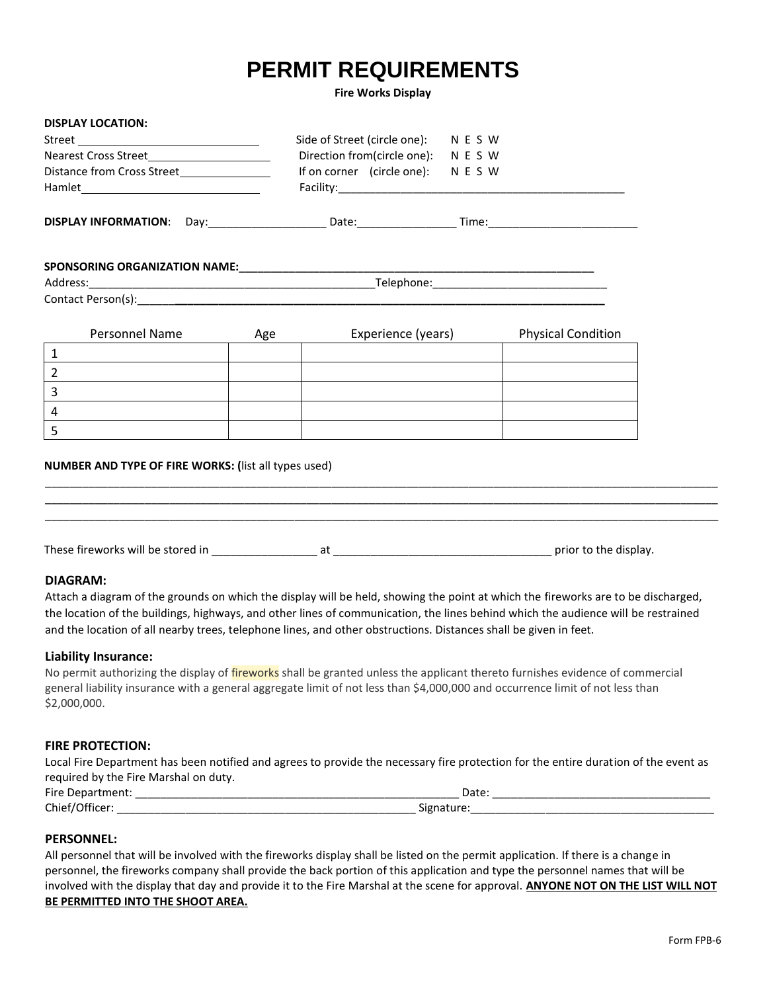# **PERMIT REQUIREMENTS**

#### **Fire Works Display**

| <b>DISPLAY LOCATION:</b>                                                                                       |                                      |                           |  |
|----------------------------------------------------------------------------------------------------------------|--------------------------------------|---------------------------|--|
|                                                                                                                | Side of Street (circle one): N E S W |                           |  |
| Nearest Cross Street                                                                                           | Direction from(circle one): N E S W  |                           |  |
| Distance from Cross Street_________________                                                                    | If on corner (circle one): N E S W   |                           |  |
|                                                                                                                |                                      |                           |  |
| DISPLAY INFORMATION: Day:___________________________Date:___________________Time:_____________________________ |                                      |                           |  |
|                                                                                                                |                                      |                           |  |
|                                                                                                                |                                      |                           |  |
|                                                                                                                |                                      |                           |  |
| Personnel Name                                                                                                 | Experience (years)<br>Age            | <b>Physical Condition</b> |  |
| $\mathbf{1}$                                                                                                   |                                      |                           |  |
| $\overline{2}$                                                                                                 |                                      |                           |  |
| $\overline{3}$                                                                                                 |                                      |                           |  |
| $\overline{4}$                                                                                                 |                                      |                           |  |
| $\overline{5}$                                                                                                 |                                      |                           |  |
| NUMBER AND TYPE OF FIRE WORKS: (list all types used)                                                           |                                      |                           |  |
|                                                                                                                |                                      |                           |  |
|                                                                                                                |                                      |                           |  |
| <b>DIAGRAM:</b>                                                                                                |                                      |                           |  |

Attach a diagram of the grounds on which the display will be held, showing the point at which the fireworks are to be discharged, the location of the buildings, highways, and other lines of communication, the lines behind which the audience will be restrained and the location of all nearby trees, telephone lines, and other obstructions. Distances shall be given in feet.

#### **Liability Insurance:**

No permit authorizing the display of *fireworks* shall be granted unless the applicant thereto furnishes evidence of commercial general liability insurance with a general aggregate limit of not less than \$4,000,000 and occurrence limit of not less than \$2,000,000.

#### **FIRE PROTECTION:**

Local Fire Department has been notified and agrees to provide the necessary fire protection for the entire duration of the event as required by the Fire Marshal on duty.

| <b>Fire</b> | Date:        |
|-------------|--------------|
| -16         | ____         |
| Chie.       | - -<br>־ טור |

### **PERSONNEL:**

All personnel that will be involved with the fireworks display shall be listed on the permit application. If there is a change in personnel, the fireworks company shall provide the back portion of this application and type the personnel names that will be involved with the display that day and provide it to the Fire Marshal at the scene for approval. **ANYONE NOT ON THE LIST WILL NOT BE PERMITTED INTO THE SHOOT AREA.**